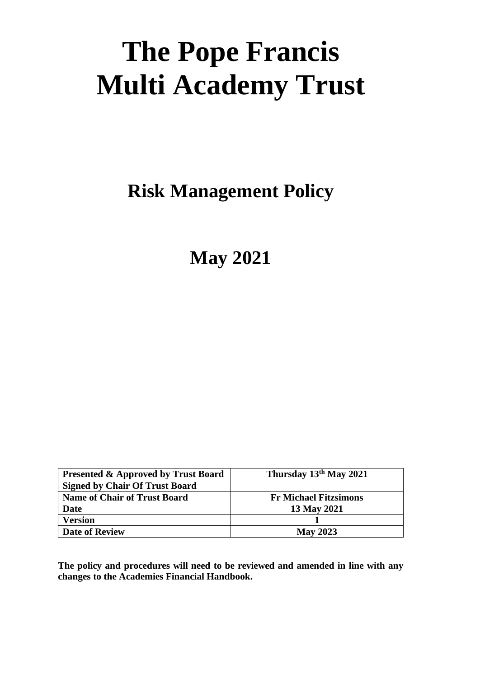# **The Pope Francis Multi Academy Trust**

**Risk Management Policy**

**May 2021**

| <b>Presented &amp; Approved by Trust Board</b> | Thursday 13th May 2021       |
|------------------------------------------------|------------------------------|
| <b>Signed by Chair Of Trust Board</b>          |                              |
| <b>Name of Chair of Trust Board</b>            | <b>Fr Michael Fitzsimons</b> |
| <b>Date</b>                                    | 13 May 2021                  |
| <b>Version</b>                                 |                              |
| <b>Date of Review</b>                          | <b>May 2023</b>              |

**The policy and procedures will need to be reviewed and amended in line with any changes to the Academies Financial Handbook.**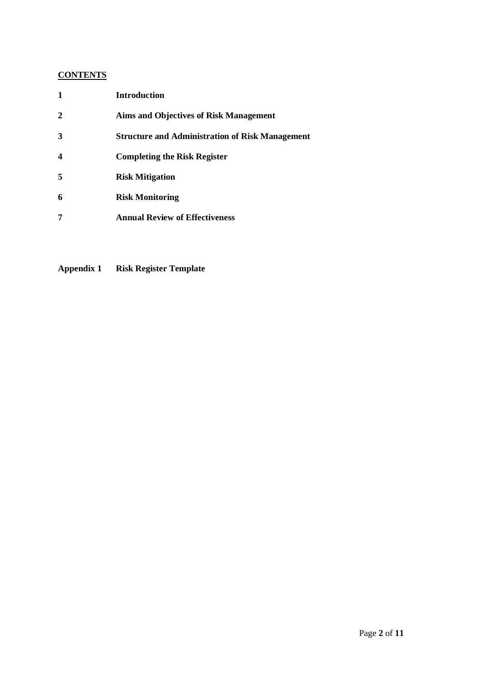# **CONTENTS**

| 1                | <b>Introduction</b>                                    |
|------------------|--------------------------------------------------------|
| $\mathbf{2}$     | <b>Aims and Objectives of Risk Management</b>          |
| 3                | <b>Structure and Administration of Risk Management</b> |
| $\boldsymbol{4}$ | <b>Completing the Risk Register</b>                    |
| 5                | <b>Risk Mitigation</b>                                 |
| 6                | <b>Risk Monitoring</b>                                 |
| 7                | <b>Annual Review of Effectiveness</b>                  |

**Appendix 1 Risk Register Template**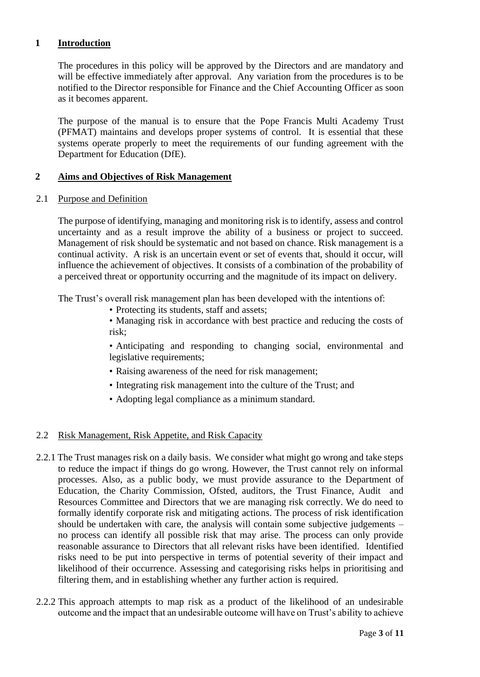## **1 Introduction**

The procedures in this policy will be approved by the Directors and are mandatory and will be effective immediately after approval. Any variation from the procedures is to be notified to the Director responsible for Finance and the Chief Accounting Officer as soon as it becomes apparent.

The purpose of the manual is to ensure that the Pope Francis Multi Academy Trust (PFMAT) maintains and develops proper systems of control. It is essential that these systems operate properly to meet the requirements of our funding agreement with the Department for Education (DfE).

### **2 Aims and Objectives of Risk Management**

2.1 Purpose and Definition

The purpose of identifying, managing and monitoring risk is to identify, assess and control uncertainty and as a result improve the ability of a business or project to succeed. Management of risk should be systematic and not based on chance. Risk management is a continual activity. A risk is an uncertain event or set of events that, should it occur, will influence the achievement of objectives. It consists of a combination of the probability of a perceived threat or opportunity occurring and the magnitude of its impact on delivery.

The Trust's overall risk management plan has been developed with the intentions of:

• Protecting its students, staff and assets;

• Managing risk in accordance with best practice and reducing the costs of risk;

• Anticipating and responding to changing social, environmental and legislative requirements;

- Raising awareness of the need for risk management;
- Integrating risk management into the culture of the Trust; and
- Adopting legal compliance as a minimum standard.

## 2.2 Risk Management, Risk Appetite, and Risk Capacity

- 2.2.1 The Trust manages risk on a daily basis. We consider what might go wrong and take steps to reduce the impact if things do go wrong. However, the Trust cannot rely on informal processes. Also, as a public body, we must provide assurance to the Department of Education, the Charity Commission, Ofsted, auditors, the Trust Finance, Audit and Resources Committee and Directors that we are managing risk correctly. We do need to formally identify corporate risk and mitigating actions. The process of risk identification should be undertaken with care, the analysis will contain some subjective judgements – no process can identify all possible risk that may arise. The process can only provide reasonable assurance to Directors that all relevant risks have been identified. Identified risks need to be put into perspective in terms of potential severity of their impact and likelihood of their occurrence. Assessing and categorising risks helps in prioritising and filtering them, and in establishing whether any further action is required.
- 2.2.2 This approach attempts to map risk as a product of the likelihood of an undesirable outcome and the impact that an undesirable outcome will have on Trust's ability to achieve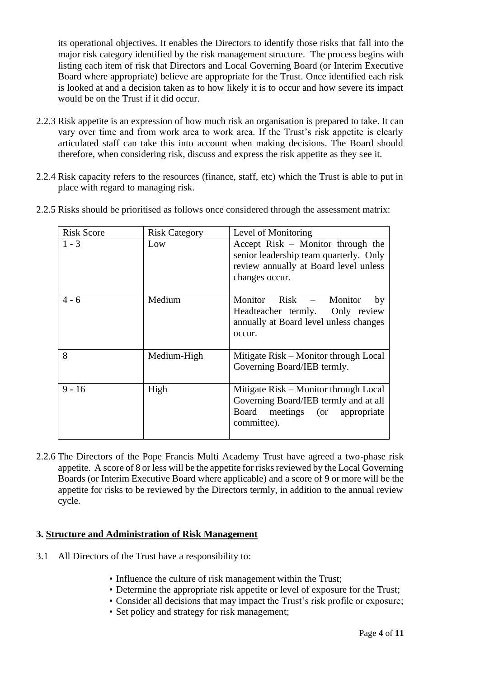its operational objectives. It enables the Directors to identify those risks that fall into the major risk category identified by the risk management structure. The process begins with listing each item of risk that Directors and Local Governing Board (or Interim Executive Board where appropriate) believe are appropriate for the Trust. Once identified each risk is looked at and a decision taken as to how likely it is to occur and how severe its impact would be on the Trust if it did occur.

- 2.2.3 Risk appetite is an expression of how much risk an organisation is prepared to take. It can vary over time and from work area to work area. If the Trust's risk appetite is clearly articulated staff can take this into account when making decisions. The Board should therefore, when considering risk, discuss and express the risk appetite as they see it.
- 2.2.4 Risk capacity refers to the resources (finance, staff, etc) which the Trust is able to put in place with regard to managing risk.
- 2.2.5 Risks should be prioritised as follows once considered through the assessment matrix:

| <b>Risk Score</b> | <b>Risk Category</b> | Level of Monitoring                                                                                                                    |  |  |
|-------------------|----------------------|----------------------------------------------------------------------------------------------------------------------------------------|--|--|
| $1 - 3$           | Low                  | Accept Risk – Monitor through the<br>senior leadership team quarterly. Only<br>review annually at Board level unless<br>changes occur. |  |  |
| 4 - 6             | Medium               | Monitor Risk – Monitor<br>by<br>Headteacher termly. Only review<br>annually at Board level unless changes<br>occur.                    |  |  |
| 8                 | Medium-High          | Mitigate Risk – Monitor through Local<br>Governing Board/IEB termly.                                                                   |  |  |
| $9 - 16$          | High                 | Mitigate Risk – Monitor through Local<br>Governing Board/IEB termly and at all<br>Board meetings (or appropriate<br>committee).        |  |  |

2.2.6 The Directors of the Pope Francis Multi Academy Trust have agreed a two-phase risk appetite. A score of 8 or less will be the appetite for risks reviewed by the Local Governing Boards (or Interim Executive Board where applicable) and a score of 9 or more will be the appetite for risks to be reviewed by the Directors termly, in addition to the annual review cycle.

## **3. Structure and Administration of Risk Management**

- 3.1 All Directors of the Trust have a responsibility to:
	- Influence the culture of risk management within the Trust;
	- Determine the appropriate risk appetite or level of exposure for the Trust;
	- Consider all decisions that may impact the Trust's risk profile or exposure;
	- Set policy and strategy for risk management;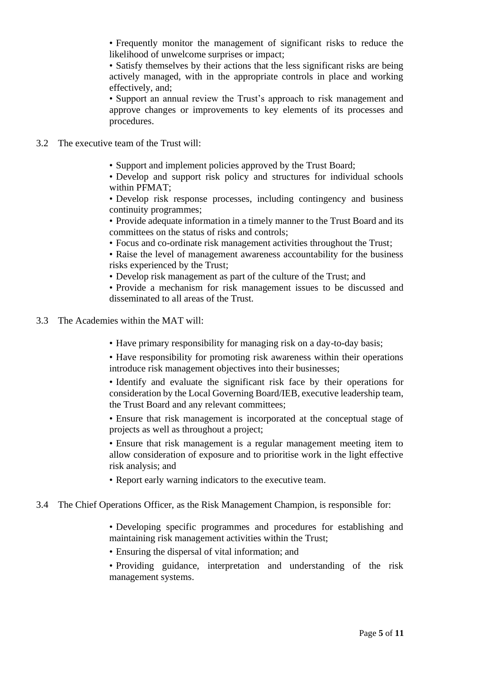• Frequently monitor the management of significant risks to reduce the likelihood of unwelcome surprises or impact;

• Satisfy themselves by their actions that the less significant risks are being actively managed, with in the appropriate controls in place and working effectively, and;

• Support an annual review the Trust's approach to risk management and approve changes or improvements to key elements of its processes and procedures.

3.2 The executive team of the Trust will:

• Support and implement policies approved by the Trust Board;

• Develop and support risk policy and structures for individual schools within PFMAT;

• Develop risk response processes, including contingency and business continuity programmes;

• Provide adequate information in a timely manner to the Trust Board and its committees on the status of risks and controls;

• Focus and co-ordinate risk management activities throughout the Trust;

• Raise the level of management awareness accountability for the business risks experienced by the Trust;

• Develop risk management as part of the culture of the Trust; and

• Provide a mechanism for risk management issues to be discussed and disseminated to all areas of the Trust.

- 3.3 The Academies within the MAT will:
	- Have primary responsibility for managing risk on a day-to-day basis;

• Have responsibility for promoting risk awareness within their operations introduce risk management objectives into their businesses;

• Identify and evaluate the significant risk face by their operations for consideration by the Local Governing Board/IEB, executive leadership team, the Trust Board and any relevant committees;

• Ensure that risk management is incorporated at the conceptual stage of projects as well as throughout a project;

• Ensure that risk management is a regular management meeting item to allow consideration of exposure and to prioritise work in the light effective risk analysis; and

- Report early warning indicators to the executive team.
- 3.4 The Chief Operations Officer, as the Risk Management Champion, is responsible for:
	- Developing specific programmes and procedures for establishing and maintaining risk management activities within the Trust;
	- Ensuring the dispersal of vital information; and

• Providing guidance, interpretation and understanding of the risk management systems.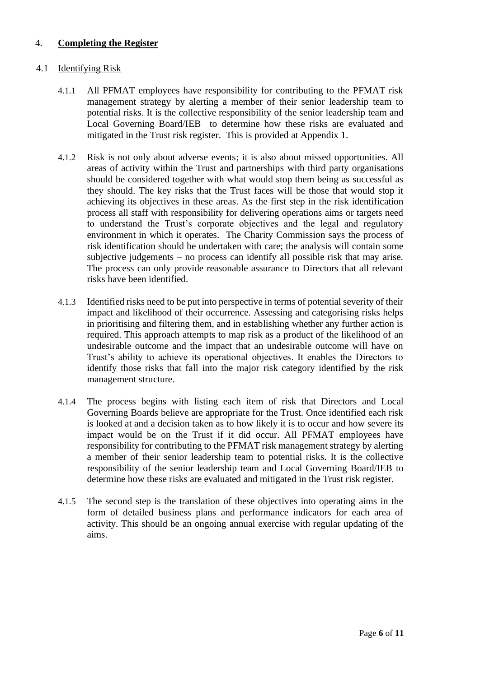## 4. **Completing the Register**

#### 4.1 Identifying Risk

- 4.1.1 All PFMAT employees have responsibility for contributing to the PFMAT risk management strategy by alerting a member of their senior leadership team to potential risks. It is the collective responsibility of the senior leadership team and Local Governing Board/IEB to determine how these risks are evaluated and mitigated in the Trust risk register. This is provided at Appendix 1.
- 4.1.2 Risk is not only about adverse events; it is also about missed opportunities. All areas of activity within the Trust and partnerships with third party organisations should be considered together with what would stop them being as successful as they should. The key risks that the Trust faces will be those that would stop it achieving its objectives in these areas. As the first step in the risk identification process all staff with responsibility for delivering operations aims or targets need to understand the Trust's corporate objectives and the legal and regulatory environment in which it operates. The Charity Commission says the process of risk identification should be undertaken with care; the analysis will contain some subjective judgements – no process can identify all possible risk that may arise. The process can only provide reasonable assurance to Directors that all relevant risks have been identified.
- 4.1.3 Identified risks need to be put into perspective in terms of potential severity of their impact and likelihood of their occurrence. Assessing and categorising risks helps in prioritising and filtering them, and in establishing whether any further action is required. This approach attempts to map risk as a product of the likelihood of an undesirable outcome and the impact that an undesirable outcome will have on Trust's ability to achieve its operational objectives. It enables the Directors to identify those risks that fall into the major risk category identified by the risk management structure.
- 4.1.4 The process begins with listing each item of risk that Directors and Local Governing Boards believe are appropriate for the Trust. Once identified each risk is looked at and a decision taken as to how likely it is to occur and how severe its impact would be on the Trust if it did occur. All PFMAT employees have responsibility for contributing to the PFMAT risk management strategy by alerting a member of their senior leadership team to potential risks. It is the collective responsibility of the senior leadership team and Local Governing Board/IEB to determine how these risks are evaluated and mitigated in the Trust risk register.
- 4.1.5 The second step is the translation of these objectives into operating aims in the form of detailed business plans and performance indicators for each area of activity. This should be an ongoing annual exercise with regular updating of the aims.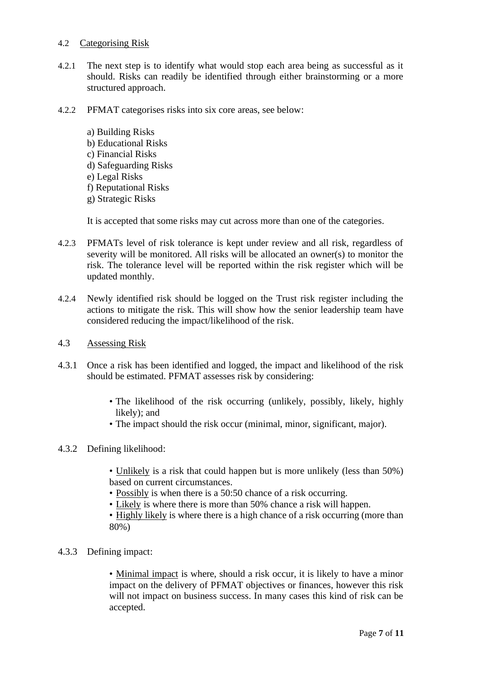#### 4.2 Categorising Risk

- 4.2.1 The next step is to identify what would stop each area being as successful as it should. Risks can readily be identified through either brainstorming or a more structured approach.
- 4.2.2 PFMAT categorises risks into six core areas, see below:
	- a) Building Risks b) Educational Risks c) Financial Risks d) Safeguarding Risks e) Legal Risks f) Reputational Risks g) Strategic Risks

It is accepted that some risks may cut across more than one of the categories.

- 4.2.3 PFMATs level of risk tolerance is kept under review and all risk, regardless of severity will be monitored. All risks will be allocated an owner(s) to monitor the risk. The tolerance level will be reported within the risk register which will be updated monthly.
- 4.2.4 Newly identified risk should be logged on the Trust risk register including the actions to mitigate the risk. This will show how the senior leadership team have considered reducing the impact/likelihood of the risk.
- 4.3 Assessing Risk
- 4.3.1 Once a risk has been identified and logged, the impact and likelihood of the risk should be estimated. PFMAT assesses risk by considering:
	- The likelihood of the risk occurring (unlikely, possibly, likely, highly likely); and
	- The impact should the risk occur (minimal, minor, significant, major).

## 4.3.2 Defining likelihood:

- Unlikely is a risk that could happen but is more unlikely (less than 50%) based on current circumstances.
- Possibly is when there is a 50:50 chance of a risk occurring.
- Likely is where there is more than 50% chance a risk will happen.
- Highly likely is where there is a high chance of a risk occurring (more than 80%)
- 4.3.3 Defining impact:

• Minimal impact is where, should a risk occur, it is likely to have a minor impact on the delivery of PFMAT objectives or finances, however this risk will not impact on business success. In many cases this kind of risk can be accepted.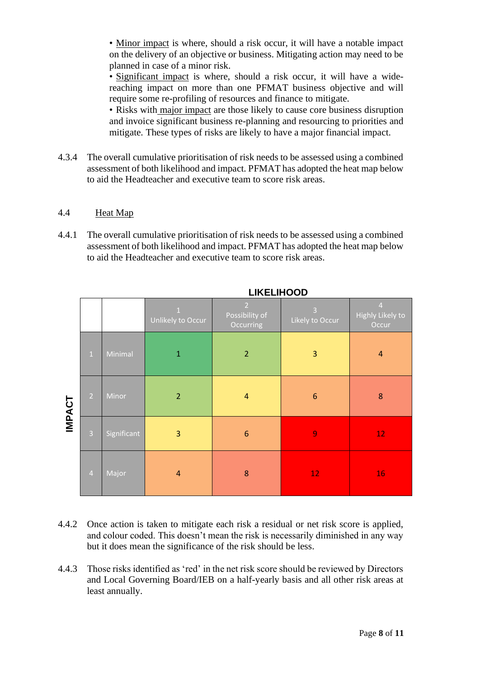• Minor impact is where, should a risk occur, it will have a notable impact on the delivery of an objective or business. Mitigating action may need to be planned in case of a minor risk.

• Significant impact is where, should a risk occur, it will have a widereaching impact on more than one PFMAT business objective and will require some re-profiling of resources and finance to mitigate.

• Risks with major impact are those likely to cause core business disruption and invoice significant business re-planning and resourcing to priorities and mitigate. These types of risks are likely to have a major financial impact.

4.3.4 The overall cumulative prioritisation of risk needs to be assessed using a combined assessment of both likelihood and impact. PFMAT has adopted the heat map below to aid the Headteacher and executive team to score risk areas.

# 4.4Heat Map

4.4.1 The overall cumulative prioritisation of risk needs to be assessed using a combined assessment of both likelihood and impact. PFMAT has adopted the heat map below to aid the Headteacher and executive team to score risk areas.

|               |                |             | $\overline{1}$<br>Unlikely to Occur | $\overline{2}$<br>Possibility of<br>Occurring | $\overline{3}$<br>Likely to Occur | $\overline{4}$<br>Highly Likely to<br>Occur |
|---------------|----------------|-------------|-------------------------------------|-----------------------------------------------|-----------------------------------|---------------------------------------------|
| <b>IMPACT</b> | $\,1\,$        | Minimal     | $\mathbf{1}$                        | $\overline{2}$                                | 3                                 | $\overline{4}$                              |
|               | $\overline{2}$ | Minor       | $\overline{2}$                      | $\overline{4}$                                | $6\phantom{1}6$                   | 8                                           |
|               | $\overline{3}$ | Significant | 3                                   | 6                                             | $\overline{9}$                    | 12 <sub>2</sub>                             |
|               | $\overline{4}$ | Major       | $\overline{4}$                      | 8                                             | 12                                | 16                                          |

**LIKELIHOOD**

- 4.4.2 Once action is taken to mitigate each risk a residual or net risk score is applied, and colour coded. This doesn't mean the risk is necessarily diminished in any way but it does mean the significance of the risk should be less.
- 4.4.3 Those risks identified as 'red' in the net risk score should be reviewed by Directors and Local Governing Board/IEB on a half-yearly basis and all other risk areas at least annually.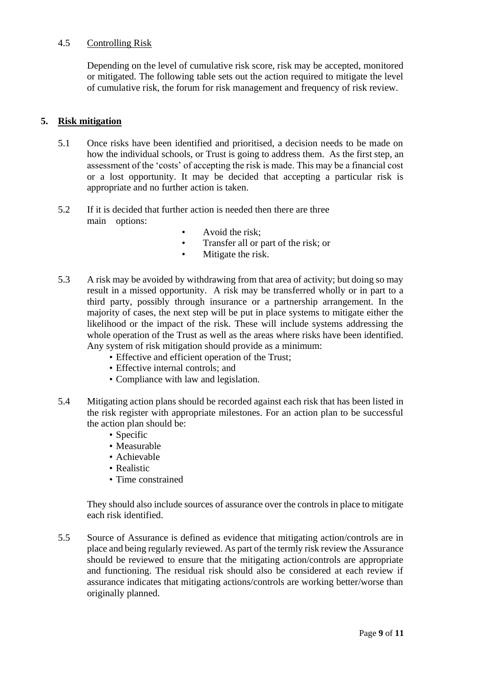### 4.5 Controlling Risk

Depending on the level of cumulative risk score, risk may be accepted, monitored or mitigated. The following table sets out the action required to mitigate the level of cumulative risk, the forum for risk management and frequency of risk review.

### **5. Risk mitigation**

- 5.1 Once risks have been identified and prioritised, a decision needs to be made on how the individual schools, or Trust is going to address them. As the first step, an assessment of the 'costs' of accepting the risk is made. This may be a financial cost or a lost opportunity. It may be decided that accepting a particular risk is appropriate and no further action is taken.
- 5.2 If it is decided that further action is needed then there are three main options:
	- Avoid the risk;
	- Transfer all or part of the risk; or
	- Mitigate the risk.
- 5.3 A risk may be avoided by withdrawing from that area of activity; but doing so may result in a missed opportunity. A risk may be transferred wholly or in part to a third party, possibly through insurance or a partnership arrangement. In the majority of cases, the next step will be put in place systems to mitigate either the likelihood or the impact of the risk. These will include systems addressing the whole operation of the Trust as well as the areas where risks have been identified. Any system of risk mitigation should provide as a minimum:
	- Effective and efficient operation of the Trust;
	- Effective internal controls; and
	- Compliance with law and legislation.
- 5.4 Mitigating action plans should be recorded against each risk that has been listed in the risk register with appropriate milestones. For an action plan to be successful the action plan should be:
	- Specific
	- Measurable
	- Achievable
	- Realistic
	- Time constrained

They should also include sources of assurance over the controls in place to mitigate each risk identified.

5.5 Source of Assurance is defined as evidence that mitigating action/controls are in place and being regularly reviewed. As part of the termly risk review the Assurance should be reviewed to ensure that the mitigating action/controls are appropriate and functioning. The residual risk should also be considered at each review if assurance indicates that mitigating actions/controls are working better/worse than originally planned.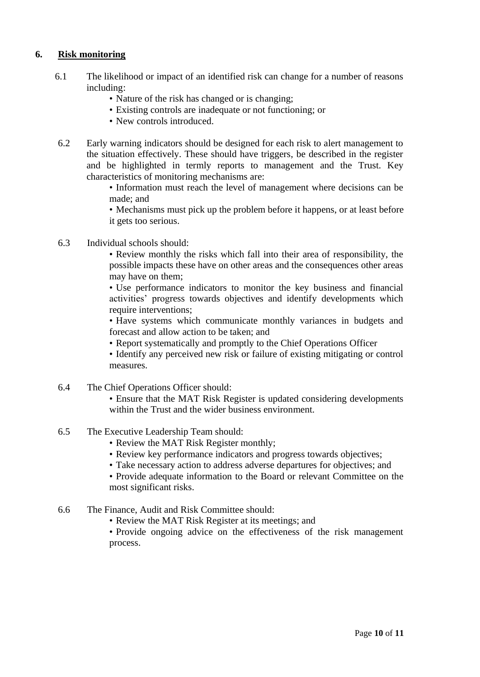# **6. Risk monitoring**

- 6.1 The likelihood or impact of an identified risk can change for a number of reasons including:
	- Nature of the risk has changed or is changing;
	- Existing controls are inadequate or not functioning; or
	- New controls introduced.
- 6.2 Early warning indicators should be designed for each risk to alert management to the situation effectively. These should have triggers, be described in the register and be highlighted in termly reports to management and the Trust. Key characteristics of monitoring mechanisms are:

• Information must reach the level of management where decisions can be made; and

• Mechanisms must pick up the problem before it happens, or at least before it gets too serious.

6.3 Individual schools should:

• Review monthly the risks which fall into their area of responsibility, the possible impacts these have on other areas and the consequences other areas may have on them;

• Use performance indicators to monitor the key business and financial activities' progress towards objectives and identify developments which require interventions;

• Have systems which communicate monthly variances in budgets and forecast and allow action to be taken; and

• Report systematically and promptly to the Chief Operations Officer

• Identify any perceived new risk or failure of existing mitigating or control measures.

6.4 The Chief Operations Officer should:

• Ensure that the MAT Risk Register is updated considering developments within the Trust and the wider business environment.

- 6.5 The Executive Leadership Team should:
	- Review the MAT Risk Register monthly;
	- Review key performance indicators and progress towards objectives;
	- Take necessary action to address adverse departures for objectives; and

• Provide adequate information to the Board or relevant Committee on the most significant risks.

- 6.6 The Finance, Audit and Risk Committee should:
	- Review the MAT Risk Register at its meetings; and

• Provide ongoing advice on the effectiveness of the risk management process.